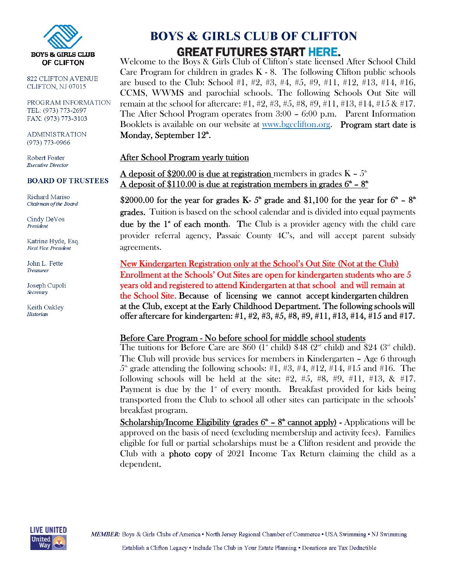

822 CLIFTON AVENUE CLIFTON, NJ 07015

PROGRAM INFORMATION TEL: (973) 773-2697 FAX: (973) 773-3103

**ADMINISTRATION**  $(973) 773 - 0966$ 

Robert Foster **Executive Director** 

#### **BOARD OF TRUSTEES**

Richard Mariso Chairman of the Board

Cindy DeVos President

Katrine Hyde, Esq. First Vice President

John L. Fette Treasurer

Joseph Cupoli Secretary

Keith Oakley Historian

## **BOYS & GIRLS CLUB OF CLIFTON GREAT FUTURES START HERE.**

Welcome to the Boys & Girls Club of Clifton's state licensed After School Child Care Program for children in grades  $K - 8$ . The following Clifton public schools are bused to the Club: School #1, #2, #3, #4, #5, #9, #11, #12, #13, #14, #16, CCMS, WWMS and parochial schools. The following Schools Out Site will remain at the school for aftercare: #1, #2, #3, #5, #8, #9, #11, #13, #14, #15 & #17. The After School Program operates from 3:00 – 6:00 p.m. Parent Information Booklets is available on our website at www.bgcclifton.org. Program start date is Monday, September  $12^{\text{th}}$ .

### After School Program yearly tuition

A deposit of \$200.00 is due at registration members in grades  $K - 5<sup>th</sup>$ A deposit of \$110.00 is due at registration members in grades  $6^{\text{th}}$  –  $8^{\text{th}}$ 

\$2000.00 for the year for grades K-  $5^{\circ}$  grade and \$1,100 for the year for  $6^{\circ}$  –  $8^{\circ}$ grades. Tuition is based on the school calendar and is divided into equal payments due by the  $1^*$  of each month. The Club is a provider agency with the child care provider referral agency, Passaic County 4C's, and will accept parent subsidy agreements.

New Kindergarten Registration only at the School's Out Site (Not at the Club) Enrollment at the Schools' Out Sites are open for kindergarten students who are 5 years old and registered to attend Kindergarten at that school and will remain at the School Site. Because of licensing we cannot accept kindergarten children at the Club, except at the Early Childhood Department. The following schools will offer aftercare for kindergarten: #1, #2, #3, #5, #8, #9, #11, #13, #14, #15 and #17.

### Before Care Program - No before school for middle school students

The tuitions for Before Care are  $$60$  (1<sup>st</sup> child)  $$48$  (2<sup>nd</sup> child) and  $$24$  (3<sup>nd</sup> child). The Club will provide bus services for members in Kindergarten – Age 6 through  $5^{\text{th}}$  grade attending the following schools: #1, #3, #4, #12, #14, #15 and #16. The following schools will be held at the site:  $#2, #5, #8, #9, #11, #13, & 17.$ Payment is due by the  $1^*$  of every month. Breakfast provided for kids being transported from the Club to school all other sites can participate in the schools' breakfast program.

Scholarship/Income Eligibility (grades  $6^{\text{th}}$  –  $8^{\text{th}}$  cannot apply) - Applications will be approved on the basis of need (excluding membership and activity fees). Families eligible for full or partial scholarships must be a Clifton resident and provide the Club with a photo copy of 2021 Income Tax Return claiming the child as a dependent.

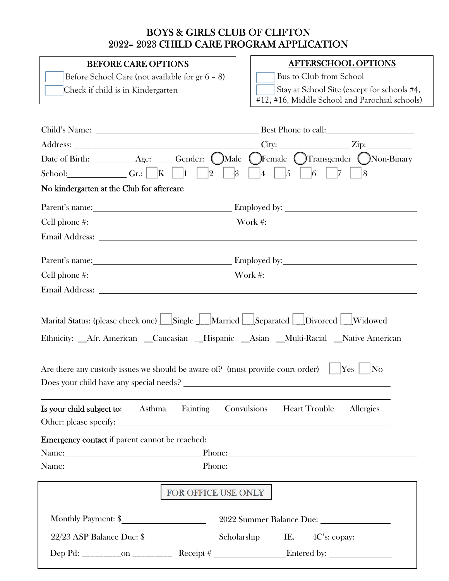### BOYS & GIRLS CLUB OF CLIFTON 2022– 2023 CHILD CARE PROGRAM APPLICATION

### BEFORE CARE OPTIONS

 Before School Care (not available for gr 6 – 8) Check if child is in Kindergarten

### AFTERSCHOOL OPTIONS

Bus to Club from School

Stay at School Site (except for schools #4,

#12, #16, Middle School and Parochial schools)

|                                                                                                                                                                                                                                                 | Date of Birth: __________ Age: _____ Gender: OMale OFemale OTransgender ONon-Binary                                                                                                                                                 |  |  |  |  |
|-------------------------------------------------------------------------------------------------------------------------------------------------------------------------------------------------------------------------------------------------|-------------------------------------------------------------------------------------------------------------------------------------------------------------------------------------------------------------------------------------|--|--|--|--|
| School: Gr.: $\Box$ Gr.: $\Box$ $\Box$ $\Box$ $\Box$                                                                                                                                                                                            | $ 2 -$<br>3 4 5 6 7 8                                                                                                                                                                                                               |  |  |  |  |
| No kindergarten at the Club for aftercare                                                                                                                                                                                                       |                                                                                                                                                                                                                                     |  |  |  |  |
|                                                                                                                                                                                                                                                 | Parent's name: <u>New York: Employed</u> by: New York: New York: New York: New York: New York: New York: New York: New York: New York: New York: New York: New York: New York: New York: New York: New York: New York: New York: Ne |  |  |  |  |
|                                                                                                                                                                                                                                                 | Cell phone #: Work #:                                                                                                                                                                                                               |  |  |  |  |
|                                                                                                                                                                                                                                                 | Email Address: Note that the set of the set of the set of the set of the set of the set of the set of the set of the set of the set of the set of the set of the set of the set of the set of the set of the set of the set of      |  |  |  |  |
|                                                                                                                                                                                                                                                 | Parent's name: <u>Employed by:</u> Employed by:                                                                                                                                                                                     |  |  |  |  |
|                                                                                                                                                                                                                                                 |                                                                                                                                                                                                                                     |  |  |  |  |
|                                                                                                                                                                                                                                                 | Email Address: Note that the contract of the contract of the contract of the contract of the contract of the contract of the contract of the contract of the contract of the contract of the contract of the contract of the c      |  |  |  |  |
| Are there any custody issues we should be aware of? (must provide court order) $\vert$<br>$\operatorname{Yes}$<br>$\overline{\text{No}}$<br>Is your child subject to:<br>Fainting<br>Convulsions<br><b>Heart Trouble</b><br>Allergies<br>Asthma |                                                                                                                                                                                                                                     |  |  |  |  |
| Emergency contact if parent cannot be reached:                                                                                                                                                                                                  |                                                                                                                                                                                                                                     |  |  |  |  |
| Name: Phone: Phone:                                                                                                                                                                                                                             |                                                                                                                                                                                                                                     |  |  |  |  |
| Name: Phone: Phone: Phone: Phone: Phone: Phone: Phone: Phone: Phone: Phone: Phone: Phone: Phone: Phone: Phone: Phone: Phone: Phone: Phone: Phone: Phone: Phone: Phone: Phone: Phone: Phone: Phone: Phone: Phone: Phone: Phone:                  |                                                                                                                                                                                                                                     |  |  |  |  |
|                                                                                                                                                                                                                                                 |                                                                                                                                                                                                                                     |  |  |  |  |
| FOR OFFICE USE ONLY                                                                                                                                                                                                                             |                                                                                                                                                                                                                                     |  |  |  |  |
| Monthly Payment: \$                                                                                                                                                                                                                             |                                                                                                                                                                                                                                     |  |  |  |  |
| 22/23 ASP Balance Due: \$                                                                                                                                                                                                                       | Scholarship<br>IE.                                                                                                                                                                                                                  |  |  |  |  |
|                                                                                                                                                                                                                                                 |                                                                                                                                                                                                                                     |  |  |  |  |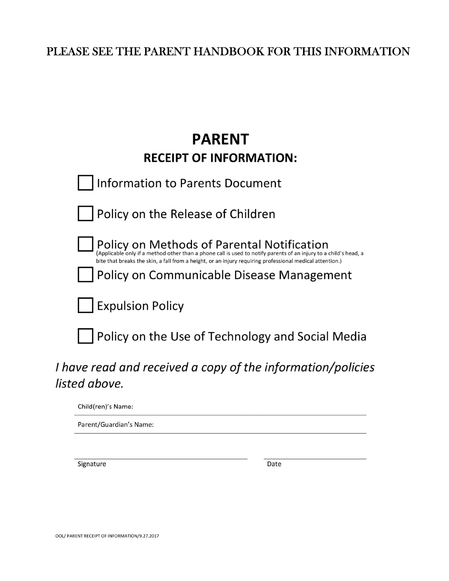### PLEASE SEE THE PARENT HANDBOOK FOR THIS INFORMATION

# **PARENT RECEIPT OF INFORMATION:**

| <b>Information to Parents Document</b>                                                                                                                                                                                                                                                                                  |
|-------------------------------------------------------------------------------------------------------------------------------------------------------------------------------------------------------------------------------------------------------------------------------------------------------------------------|
| Policy on the Release of Children                                                                                                                                                                                                                                                                                       |
| Policy on Methods of Parental Notification<br>(Applicable only if a method other than a phone call is used to notify parents of an injury to a child's head, a<br>bite that breaks the skin, a fall from a height, or an injury requiring professional medical attention.)<br>Policy on Communicable Disease Management |
| Expulsion Policy                                                                                                                                                                                                                                                                                                        |
| Policy on the Use of Technology and Social Media                                                                                                                                                                                                                                                                        |
| , and an extended to the set of the second of the staff contract to the limit of $\mathcal{L}$                                                                                                                                                                                                                          |

# I have read and received a copy of the information/policies listed above.

Child(ren)'s Name:

Parent/Guardian's Name:

Signature

Date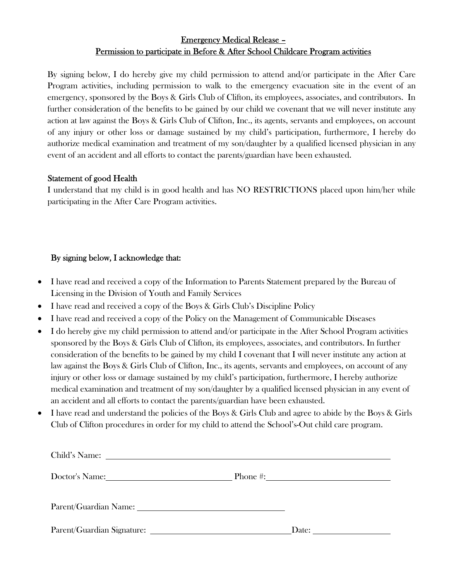### Emergency Medical Release – Permission to participate in Before & After School Childcare Program activities

By signing below, I do hereby give my child permission to attend and/or participate in the After Care Program activities, including permission to walk to the emergency evacuation site in the event of an emergency, sponsored by the Boys & Girls Club of Clifton, its employees, associates, and contributors. In further consideration of the benefits to be gained by our child we covenant that we will never institute any action at law against the Boys & Girls Club of Clifton, Inc., its agents, servants and employees, on account of any injury or other loss or damage sustained by my child's participation, furthermore, I hereby do authorize medical examination and treatment of my son/daughter by a qualified licensed physician in any event of an accident and all efforts to contact the parents/guardian have been exhausted.

### Statement of good Health

I understand that my child is in good health and has NO RESTRICTIONS placed upon him/her while participating in the After Care Program activities.

### By signing below, I acknowledge that:

- I have read and received a copy of the Information to Parents Statement prepared by the Bureau of Licensing in the Division of Youth and Family Services
- I have read and received a copy of the Boys & Girls Club's Discipline Policy
- I have read and received a copy of the Policy on the Management of Communicable Diseases
- I do hereby give my child permission to attend and/or participate in the After School Program activities sponsored by the Boys & Girls Club of Clifton, its employees, associates, and contributors. In further consideration of the benefits to be gained by my child I covenant that I will never institute any action at law against the Boys & Girls Club of Clifton, Inc., its agents, servants and employees, on account of any injury or other loss or damage sustained by my child's participation, furthermore, I hereby authorize medical examination and treatment of my son/daughter by a qualified licensed physician in any event of an accident and all efforts to contact the parents/guardian have been exhausted.
- I have read and understand the policies of the Boys & Girls Club and agree to abide by the Boys & Girls Club of Clifton procedures in order for my child to attend the School's-Out child care program.

|                            | Phone #: $\qquad \qquad \qquad$ |
|----------------------------|---------------------------------|
|                            |                                 |
| Parent/Guardian Signature: | Date:                           |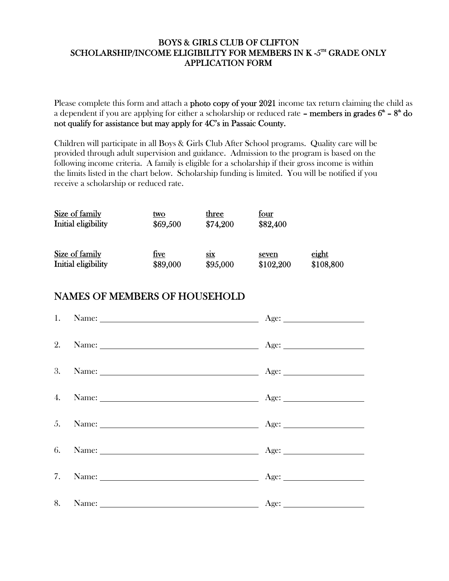### BOYS & GIRLS CLUB OF CLIFTON SCHOLARSHIP/INCOME ELIGIBILITY FOR MEMBERS IN K -5TH GRADE ONLY APPLICATION FORM

Please complete this form and attach a **photo copy of your 2021** income tax return claiming the child as a dependent if you are applying for either a scholarship or reduced rate **– members in grades**  $6^{\texttt{m}}$  **–**  $8^{\texttt{m}}$  **do** not qualify for assistance but may apply for 4C's in Passaic County.

Children will participate in all Boys & Girls Club After School programs. Quality care will be provided through adult supervision and guidance. Admission to the program is based on the following income criteria. A family is eligible for a scholarship if their gross income is within the limits listed in the chart below. Scholarship funding is limited. You will be notified if you receive a scholarship or reduced rate.

| Size of family                        | <u>two</u>              | three                  | <u>four</u>        |                    |
|---------------------------------------|-------------------------|------------------------|--------------------|--------------------|
| Initial eligibility                   | \$69,500                | \$74,200               | \$82,400           |                    |
| Size of family<br>Initial eligibility | <u>five</u><br>\$89,000 | <b>SIX</b><br>\$95,000 | seven<br>\$102,200 | eight<br>\$108,800 |

### NAMES OF MEMBERS OF HOUSEHOLD